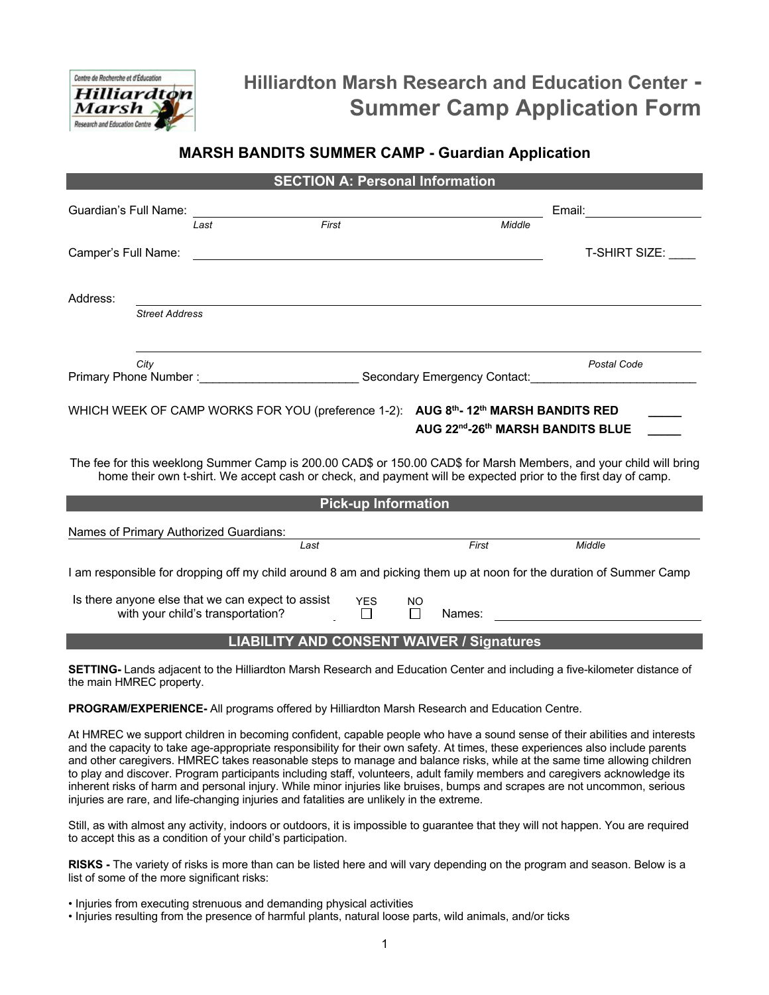

# **Hilliardton Marsh Research and Education Center - Summer Camp Application Form**

## **MARSH BANDITS SUMMER CAMP - Guardian Application**

|                                                                                                                                                                                                                                     |                                   | <b>SECTION A: Personal Information</b> |            |                     |                                                           |                                                                                                                    |
|-------------------------------------------------------------------------------------------------------------------------------------------------------------------------------------------------------------------------------------|-----------------------------------|----------------------------------------|------------|---------------------|-----------------------------------------------------------|--------------------------------------------------------------------------------------------------------------------|
| Guardian's Full Name:                                                                                                                                                                                                               |                                   |                                        |            |                     |                                                           |                                                                                                                    |
|                                                                                                                                                                                                                                     | Last                              | First                                  |            |                     | Middle                                                    |                                                                                                                    |
| Camper's Full Name:                                                                                                                                                                                                                 |                                   |                                        |            |                     |                                                           | T-SHIRT SIZE:                                                                                                      |
| Address:                                                                                                                                                                                                                            |                                   |                                        |            |                     |                                                           |                                                                                                                    |
| <b>Street Address</b>                                                                                                                                                                                                               |                                   |                                        |            |                     |                                                           |                                                                                                                    |
| City                                                                                                                                                                                                                                |                                   |                                        |            |                     |                                                           | Postal Code                                                                                                        |
| Primary Phone Number: Carrier Contact: Contact: Secondary Emergency Contact:                                                                                                                                                        |                                   |                                        |            |                     |                                                           |                                                                                                                    |
| WHICH WEEK OF CAMP WORKS FOR YOU (preference 1-2): AUG 8th-12th MARSH BANDITS RED                                                                                                                                                   |                                   |                                        |            |                     | AUG 22 <sup>nd</sup> -26 <sup>th</sup> MARSH BANDITS BLUE |                                                                                                                    |
| The fee for this weeklong Summer Camp is 200.00 CAD\$ or 150.00 CAD\$ for Marsh Members, and your child will bring<br>home their own t-shirt. We accept cash or check, and payment will be expected prior to the first day of camp. |                                   |                                        |            |                     |                                                           |                                                                                                                    |
| <b>Pick-up Information</b>                                                                                                                                                                                                          |                                   |                                        |            |                     |                                                           |                                                                                                                    |
| Names of Primary Authorized Guardians:                                                                                                                                                                                              |                                   | Last                                   |            |                     | First                                                     | Middle                                                                                                             |
|                                                                                                                                                                                                                                     |                                   |                                        |            |                     |                                                           | I am responsible for dropping off my child around 8 am and picking them up at noon for the duration of Summer Camp |
| Is there anyone else that we can expect to assist                                                                                                                                                                                   | with your child's transportation? |                                        | <b>YES</b> | <b>NO</b><br>$\Box$ | Names:                                                    |                                                                                                                    |
| <b>LIABILITY AND CONSENT WAIVER / Signatures</b>                                                                                                                                                                                    |                                   |                                        |            |                     |                                                           |                                                                                                                    |

**SETTING-** Lands adjacent to the Hilliardton Marsh Research and Education Center and including a five-kilometer distance of the main HMREC property.

**PROGRAM/EXPERIENCE-** All programs offered by Hilliardton Marsh Research and Education Centre.

At HMREC we support children in becoming confident, capable people who have a sound sense of their abilities and interests and the capacity to take age-appropriate responsibility for their own safety. At times, these experiences also include parents and other caregivers. HMREC takes reasonable steps to manage and balance risks, while at the same time allowing children to play and discover. Program participants including staff, volunteers, adult family members and caregivers acknowledge its inherent risks of harm and personal injury. While minor injuries like bruises, bumps and scrapes are not uncommon, serious injuries are rare, and life-changing injuries and fatalities are unlikely in the extreme.

Still, as with almost any activity, indoors or outdoors, it is impossible to guarantee that they will not happen. You are required to accept this as a condition of your child's participation.

**RISKS -** The variety of risks is more than can be listed here and will vary depending on the program and season. Below is a list of some of the more significant risks:

- Injuries from executing strenuous and demanding physical activities
- Injuries resulting from the presence of harmful plants, natural loose parts, wild animals, and/or ticks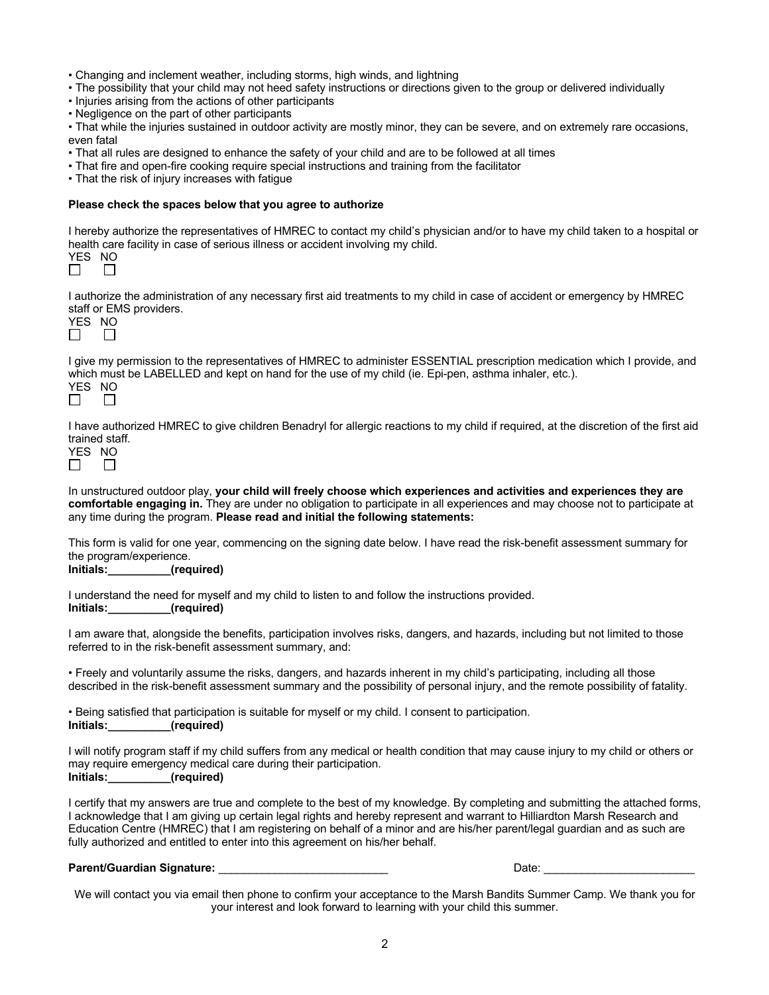- Changing and inclement weather, including storms, high winds, and lightning
- The possibility that your child may not heed safety instructions or directions given to the group or delivered individually
- Injuries arising from the actions of other participants
- Negligence on the part of other participants

• That while the injuries sustained in outdoor activity are mostly minor, they can be severe, and on extremely rare occasions, even fatal

- That all rules are designed to enhance the safety of your child and are to be followed at all times
- That fire and open-fire cooking require special instructions and training from the facilitator
- That the risk of injury increases with fatigue

#### **Please check the spaces below that you agree to authorize**

I hereby authorize the representatives of HMREC to contact my child's physician and/or to have my child taken to a hospital or health care facility in case of serious illness or accident involving my child.

I authorize the administration of any necessary first aid treatments to my child in case of accident or emergency by HMREC staff or EMS providers.

I give my permission to the representatives of HMREC to administer ESSENTIAL prescription medication which I provide, and which must be LABELLED and kept on hand for the use of my child (ie. Epi-pen, asthma inhaler, etc.). YES NO<br>  $\Box$  $\Box$ 

I have authorized HMREC to give children Benadryl for allergic reactions to my child if required, at the discretion of the first aid trained staff.

In unstructured outdoor play, **your child will freely choose which experiences and activities and experiences they are comfortable engaging in.** They are under no obligation to participate in all experiences and may choose not to participate at any time during the program. **Please read and initial the following statements:**

This form is valid for one year, commencing on the signing date below. I have read the risk-benefit assessment summary for the program/experience.<br>Initials: (reg

**Initials:\_\_\_\_\_\_\_\_\_\_(required)**

I understand the need for myself and my child to listen to and follow the instructions provided. **Initials:\_\_\_\_\_\_\_\_\_\_(required)**

I am aware that, alongside the benefits, participation involves risks, dangers, and hazards, including but not limited to those referred to in the risk-benefit assessment summary, and:

• Freely and voluntarily assume the risks, dangers, and hazards inherent in my child's participating, including all those described in the risk-benefit assessment summary and the possibility of personal injury, and the remote possibility of fatality.

• Being satisfied that participation is suitable for myself or my child. I consent to participation. **Initials:\_\_\_\_\_\_\_\_\_\_(required)**

I will notify program staff if my child suffers from any medical or health condition that may cause injury to my child or others or may require emergency medical care during their participation. **Initials:\_\_\_\_\_\_\_\_\_\_(required)**

I certify that my answers are true and complete to the best of my knowledge. By completing and submitting the attached forms, I acknowledge that I am giving up certain legal rights and hereby represent and warrant to Hilliardton Marsh Research and Education Centre (HMREC) that I am registering on behalf of a minor and are his/her parent/legal guardian and as such are fully authorized and entitled to enter into this agreement on his/her behalf.

#### **Parent/Guardian Signature:** \_\_\_\_\_\_\_\_\_\_\_\_\_\_\_\_\_\_\_\_\_\_\_\_\_\_\_ Date: \_\_\_\_\_\_\_\_\_\_\_\_\_\_\_\_\_\_\_\_\_\_\_\_

We will contact you via email then phone to confirm your acceptance to the Marsh Bandits Summer Camp. We thank you for your interest and look forward to learning with your child this summer.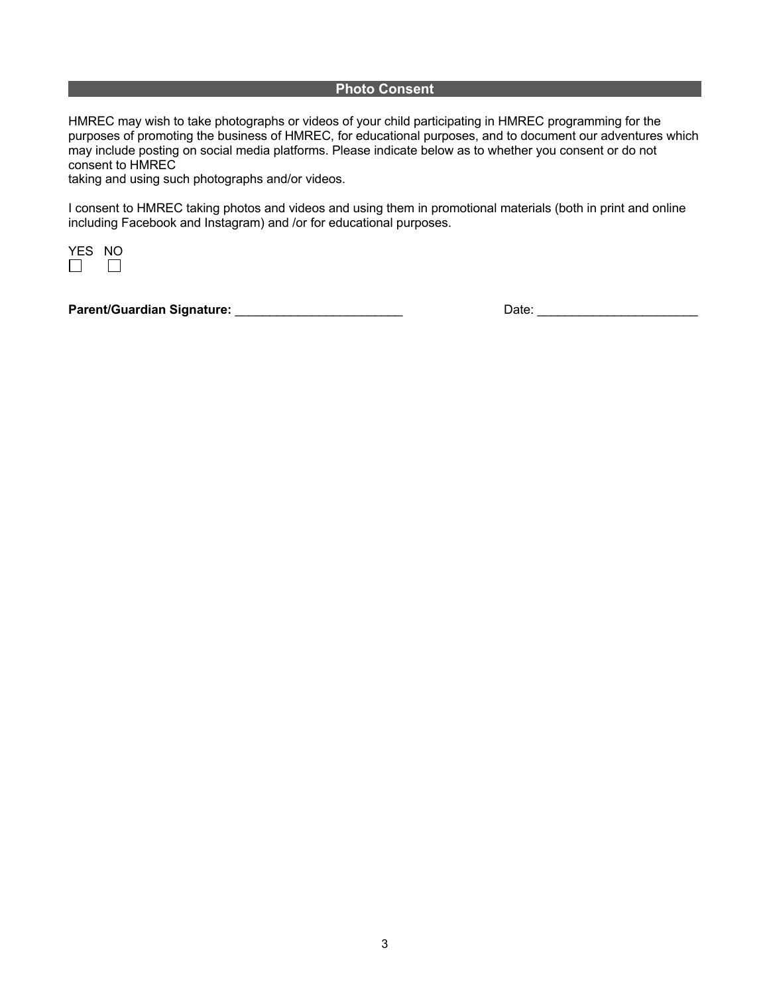#### **Photo Consent**

HMREC may wish to take photographs or videos of your child participating in HMREC programming for the purposes of promoting the business of HMREC, for educational purposes, and to document our adventures which may include posting on social media platforms. Please indicate below as to whether you consent or do not consent to HMREC

taking and using such photographs and/or videos.

I consent to HMREC taking photos and videos and using them in promotional materials (both in print and online including Facebook and Instagram) and /or for educational purposes.



**Parent/Guardian Signature:** \_\_\_\_\_\_\_\_\_\_\_\_\_\_\_\_\_\_\_\_\_\_\_\_ Date: \_\_\_\_\_\_\_\_\_\_\_\_\_\_\_\_\_\_\_\_\_\_\_